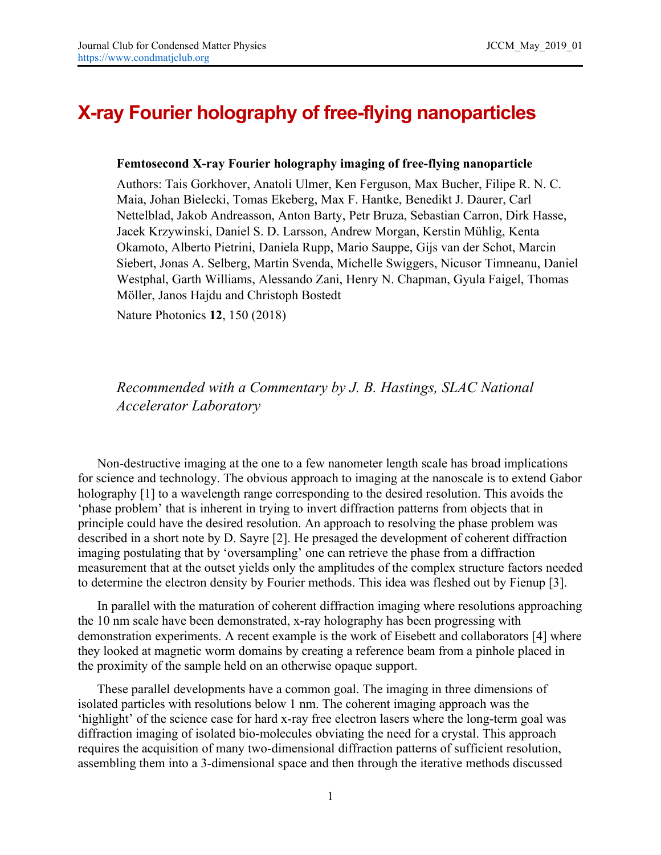## **X-ray Fourier holography of free-flying nanoparticles**

## **Femtosecond X-ray Fourier holography imaging of free-flying nanoparticle**

Authors: Tais Gorkhover, Anatoli Ulmer, Ken Ferguson, Max Bucher, Filipe R. N. C. Maia, Johan Bielecki, Tomas Ekeberg, Max F. Hantke, Benedikt J. Daurer, Carl Nettelblad, Jakob Andreasson, Anton Barty, Petr Bruza, Sebastian Carron, Dirk Hasse, Jacek Krzywinski, Daniel S. D. Larsson, Andrew Morgan, Kerstin Mühlig, Kenta Okamoto, Alberto Pietrini, Daniela Rupp, Mario Sauppe, Gijs van der Schot, Marcin Siebert, Jonas A. Selberg, Martin Svenda, Michelle Swiggers, Nicusor Timneanu, Daniel Westphal, Garth Williams, Alessando Zani, Henry N. Chapman, Gyula Faigel, Thomas Möller, Janos Hajdu and Christoph Bostedt

Nature Photonics **12**, 150 (2018)

## *Recommended with a Commentary by J. B. Hastings, SLAC National Accelerator Laboratory*

Non-destructive imaging at the one to a few nanometer length scale has broad implications for science and technology. The obvious approach to imaging at the nanoscale is to extend Gabor holography [1] to a wavelength range corresponding to the desired resolution. This avoids the 'phase problem' that is inherent in trying to invert diffraction patterns from objects that in principle could have the desired resolution. An approach to resolving the phase problem was described in a short note by D. Sayre [2]. He presaged the development of coherent diffraction imaging postulating that by 'oversampling' one can retrieve the phase from a diffraction measurement that at the outset yields only the amplitudes of the complex structure factors needed to determine the electron density by Fourier methods. This idea was fleshed out by Fienup [3].

In parallel with the maturation of coherent diffraction imaging where resolutions approaching the 10 nm scale have been demonstrated, x-ray holography has been progressing with demonstration experiments. A recent example is the work of Eisebett and collaborators [4] where they looked at magnetic worm domains by creating a reference beam from a pinhole placed in the proximity of the sample held on an otherwise opaque support.

These parallel developments have a common goal. The imaging in three dimensions of isolated particles with resolutions below 1 nm. The coherent imaging approach was the 'highlight' of the science case for hard x-ray free electron lasers where the long-term goal was diffraction imaging of isolated bio-molecules obviating the need for a crystal. This approach requires the acquisition of many two-dimensional diffraction patterns of sufficient resolution, assembling them into a 3-dimensional space and then through the iterative methods discussed